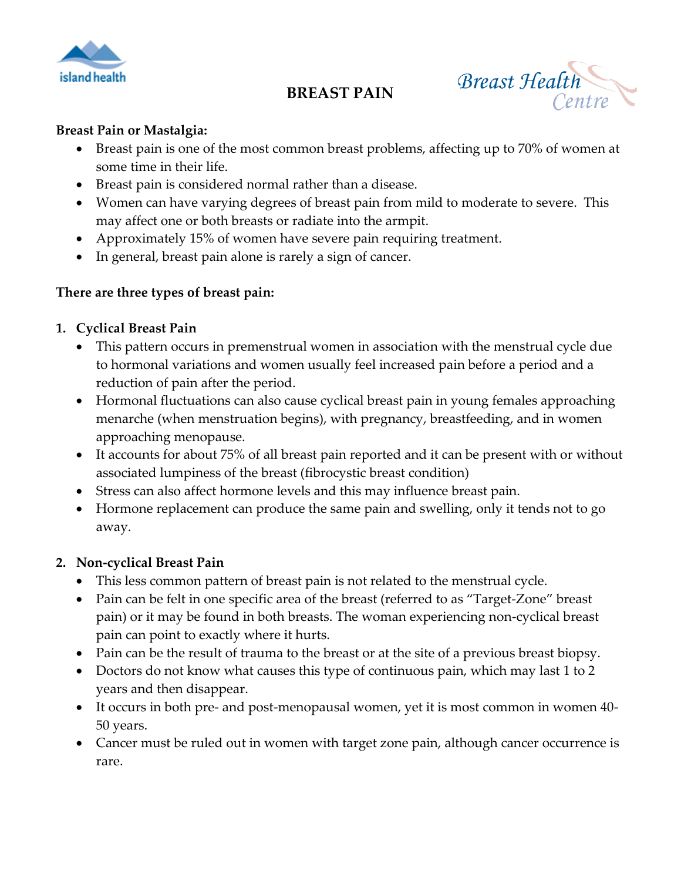

# **BREAST PAIN**

**Breast Health** Centre

#### **Breast Pain or Mastalgia:**

- Breast pain is one of the most common breast problems, affecting up to 70% of women at some time in their life.
- Breast pain is considered normal rather than a disease.
- Women can have varying degrees of breast pain from mild to moderate to severe. This may affect one or both breasts or radiate into the armpit.
- Approximately 15% of women have severe pain requiring treatment.
- In general, breast pain alone is rarely a sign of cancer.

#### **There are three types of breast pain:**

#### **1. Cyclical Breast Pain**

- This pattern occurs in premenstrual women in association with the menstrual cycle due to hormonal variations and women usually feel increased pain before a period and a reduction of pain after the period.
- Hormonal fluctuations can also cause cyclical breast pain in young females approaching menarche (when menstruation begins), with pregnancy, breastfeeding, and in women approaching menopause.
- It accounts for about 75% of all breast pain reported and it can be present with or without associated lumpiness of the breast (fibrocystic breast condition)
- Stress can also affect hormone levels and this may influence breast pain.
- Hormone replacement can produce the same pain and swelling, only it tends not to go away.

## **2. Non-cyclical Breast Pain**

- This less common pattern of breast pain is not related to the menstrual cycle.
- Pain can be felt in one specific area of the breast (referred to as "Target-Zone" breast pain) or it may be found in both breasts. The woman experiencing non-cyclical breast pain can point to exactly where it hurts.
- Pain can be the result of trauma to the breast or at the site of a previous breast biopsy.
- Doctors do not know what causes this type of continuous pain, which may last 1 to 2 years and then disappear.
- It occurs in both pre- and post-menopausal women, yet it is most common in women 40- 50 years.
- Cancer must be ruled out in women with target zone pain, although cancer occurrence is rare.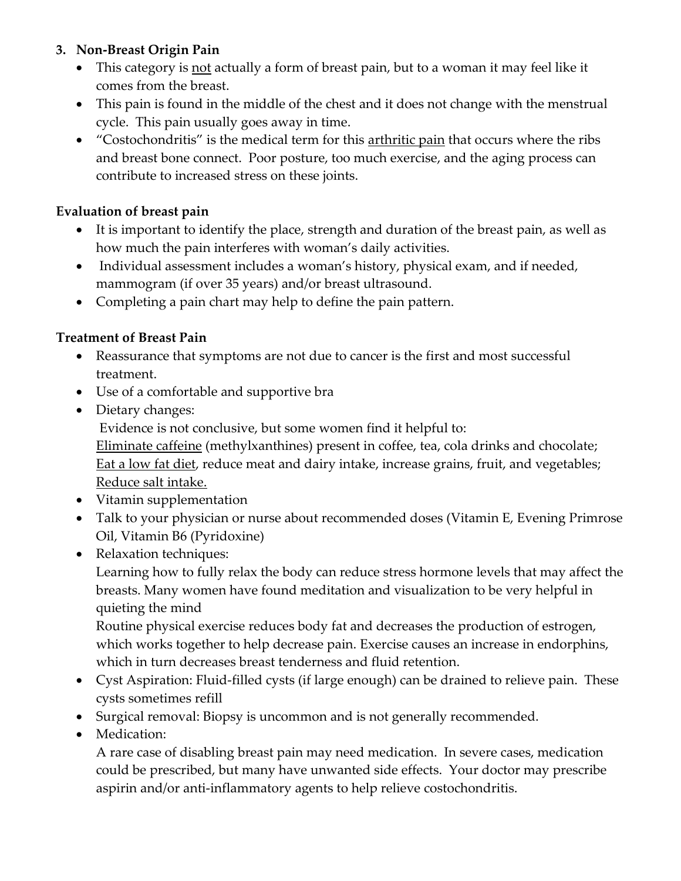## **3. Non-Breast Origin Pain**

- This category is not actually a form of breast pain, but to a woman it may feel like it comes from the breast.
- This pain is found in the middle of the chest and it does not change with the menstrual cycle. This pain usually goes away in time.
- "Costochondritis" is the medical term for this arthritic pain that occurs where the ribs and breast bone connect. Poor posture, too much exercise, and the aging process can contribute to increased stress on these joints.

# **Evaluation of breast pain**

- It is important to identify the place, strength and duration of the breast pain, as well as how much the pain interferes with woman's daily activities.
- Individual assessment includes a woman's history, physical exam, and if needed, mammogram (if over 35 years) and/or breast ultrasound.
- Completing a pain chart may help to define the pain pattern.

# **Treatment of Breast Pain**

- Reassurance that symptoms are not due to cancer is the first and most successful treatment.
- Use of a comfortable and supportive bra
- Dietary changes: Evidence is not conclusive, but some women find it helpful to: Eliminate caffeine (methylxanthines) present in coffee, tea, cola drinks and chocolate; Eat a low fat diet, reduce meat and dairy intake, increase grains, fruit, and vegetables; Reduce salt intake.
- Vitamin supplementation
- Talk to your physician or nurse about recommended doses (Vitamin E, Evening Primrose Oil, Vitamin B6 (Pyridoxine)
- Relaxation techniques:

Learning how to fully relax the body can reduce stress hormone levels that may affect the breasts. Many women have found meditation and visualization to be very helpful in quieting the mind

Routine physical exercise reduces body fat and decreases the production of estrogen, which works together to help decrease pain. Exercise causes an increase in endorphins, which in turn decreases breast tenderness and fluid retention.

- Cyst Aspiration: Fluid-filled cysts (if large enough) can be drained to relieve pain. These cysts sometimes refill
- Surgical removal: Biopsy is uncommon and is not generally recommended.
- Medication:

A rare case of disabling breast pain may need medication. In severe cases, medication could be prescribed, but many have unwanted side effects. Your doctor may prescribe aspirin and/or anti-inflammatory agents to help relieve costochondritis.